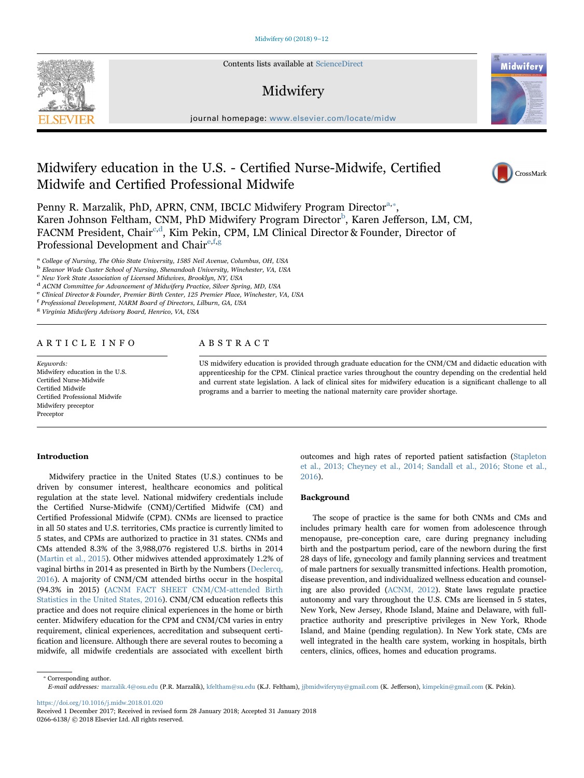Contents lists available at [ScienceDirect](http://www.sciencedirect.com/science/journal/02666138)

# Midwifery

journal homepage: [www.elsevier.com/locate/midw](http://www.elsevier.com/locate/midw)

# Midwifery education in the U.S. - Certified Nurse-Midwife, Certified Midwife and Certified Professional Midwife

Penny R. Marzalik[,](#page-0-1) PhD, APRN, CNM, IBCLC Midwifery Program Director<sup>a,\*</sup>, Karen Johnson Feltham, CNM, PhD Midwifery Program Director<sup>b</sup>, Karen Jeff[erson, LM, CM,](#page-0-2) FACNM President, Chair<sup>[c,d](#page-0-3)</sup>[, Kim Pekin, CPM, LM Clinical Director & Founder, Director of](#page-0-4) Professional Development and Chair[e,](#page-0-5)[f,](#page-0-6)[g](#page-0-7)

<span id="page-0-0"></span><sup>a</sup> College of Nursing, The Ohio State University, 1585 Neil Avenue, Columbus, OH, USA

<span id="page-0-2"></span><sup>b</sup> Eleanor Wade Custer School of Nursing, Shenandoah University, Winchester, VA, USA

<span id="page-0-3"></span><sup>c</sup> New York State Association of Licensed Midwives, Brooklyn, NY, USA

<span id="page-0-5"></span>

<span id="page-0-4"></span> $^{\rm d}$  ACNM Committee for Advancement of Midwifery Practice, Silver Spring, MD, USA e Clinical Director & Founder, Premier Birth Center, 125 Premier Place, Winchester, VA, USA

<span id="page-0-6"></span>f Professional Development, NARM Board of Directors, Lilburn, GA, USA

<span id="page-0-7"></span><sup>g</sup> Virginia Midwifery Advisory Board, Henrico, VA, USA

## ARTICLE INFO

Keywords: Midwifery education in the U.S. Certified Nurse-Midwife Certified Midwife Certified Professional Midwife Midwifery preceptor Preceptor

## ABSTRACT

US midwifery education is provided through graduate education for the CNM/CM and didactic education with apprenticeship for the CPM. Clinical practice varies throughout the country depending on the credential held and current state legislation. A lack of clinical sites for midwifery education is a significant challenge to all programs and a barrier to meeting the national maternity care provider shortage.

## Introduction

Midwifery practice in the United States (U.S.) continues to be driven by consumer interest, healthcare economics and political regulation at the state level. National midwifery credentials include the Certified Nurse-Midwife (CNM)/Certified Midwife (CM) and Certified Professional Midwife (CPM). CNMs are licensed to practice in all 50 states and U.S. territories, CMs practice is currently limited to 5 states, and CPMs are authorized to practice in 31 states. CNMs and CMs attended 8.3% of the 3,988,076 registered U.S. births in 2014 ([Martin et al., 2015\)](#page-3-0). Other midwives attended approximately 1.2% of vaginal births in 2014 as presented in Birth by the Numbers ([Declercq,](#page-3-1) [2016\)](#page-3-1). A majority of CNM/CM attended births occur in the hospital (94.3% in 2015) ([ACNM FACT SHEET CNM/CM-attended Birth](#page-2-0) [Statistics in the United States, 2016\)](#page-2-0). CNM/CM education reflects this practice and does not require clinical experiences in the home or birth center. Midwifery education for the CPM and CNM/CM varies in entry requirement, clinical experiences, accreditation and subsequent certification and licensure. Although there are several routes to becoming a midwife, all midwife credentials are associated with excellent birth outcomes and high rates of reported patient satisfaction ([Stapleton](#page-3-2) [et al., 2013; Cheyney et al., 2014; Sandall et al., 2016; Stone et al.,](#page-3-2) [2016\)](#page-3-2).

## Background

The scope of practice is the same for both CNMs and CMs and includes primary health care for women from adolescence through menopause, pre-conception care, care during pregnancy including birth and the postpartum period, care of the newborn during the first 28 days of life, gynecology and family planning services and treatment of male partners for sexually transmitted infections. Health promotion, disease prevention, and individualized wellness education and counseling are also provided ([ACNM, 2012](#page-2-1)). State laws regulate practice autonomy and vary throughout the U.S. CMs are licensed in 5 states, New York, New Jersey, Rhode Island, Maine and Delaware, with fullpractice authority and prescriptive privileges in New York, Rhode Island, and Maine (pending regulation). In New York state, CMs are well integrated in the health care system, working in hospitals, birth centers, clinics, offices, homes and education programs.

<span id="page-0-1"></span>⁎ Corresponding author. E-mail addresses: marzalik.4@osu.edu (P.R. Marzalik), kfeltham@su.edu (K.J. Feltham), jjbmidwiferyny@gmail.com (K. Jefferson), kimpekin@gmail.com (K. Pekin).

<https://doi.org/10.1016/j.midw.2018.01.020>

Received 1 December 2017; Received in revised form 28 January 2018; Accepted 31 January 2018 0266-6138/ © 2018 Elsevier Ltd. All rights reserved.





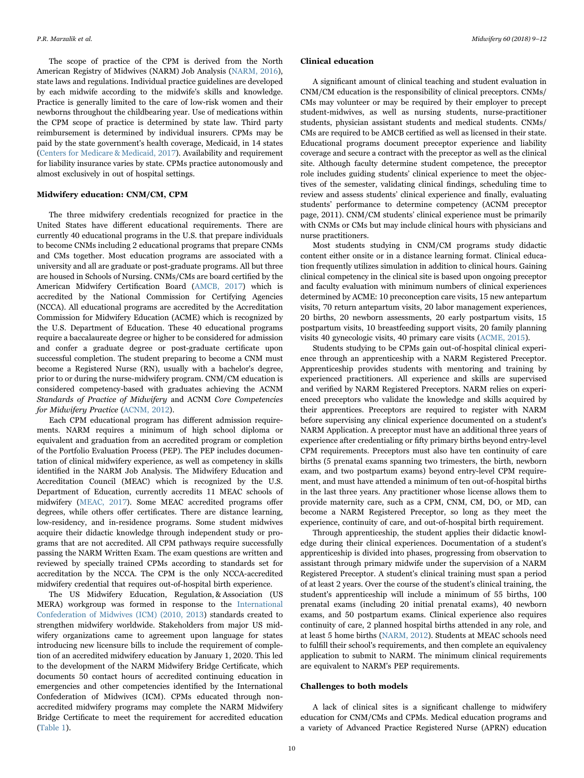The scope of practice of the CPM is derived from the North American Registry of Midwives (NARM) Job Analysis [\(NARM, 2016\)](#page-3-3), state laws and regulations. Individual practice guidelines are developed by each midwife according to the midwife's skills and knowledge. Practice is generally limited to the care of low-risk women and their newborns throughout the childbearing year. Use of medications within the CPM scope of practice is determined by state law. Third party reimbursement is determined by individual insurers. CPMs may be paid by the state government's health coverage, Medicaid, in 14 states ([Centers for Medicare & Medicaid, 2017](#page-3-4)). Availability and requirement for liability insurance varies by state. CPMs practice autonomously and almost exclusively in out of hospital settings.

## Midwifery education: CNM/CM, CPM

The three midwifery credentials recognized for practice in the United States have different educational requirements. There are currently 40 educational programs in the U.S. that prepare individuals to become CNMs including 2 educational programs that prepare CNMs and CMs together. Most education programs are associated with a university and all are graduate or post-graduate programs. All but three are housed in Schools of Nursing. CNMs/CMs are board certified by the American Midwifery Certification Board ([AMCB, 2017](#page-3-5)) which is accredited by the National Commission for Certifying Agencies (NCCA). All educational programs are accredited by the Accreditation Commission for Midwifery Education (ACME) which is recognized by the U.S. Department of Education. These 40 educational programs require a baccalaureate degree or higher to be considered for admission and confer a graduate degree or post-graduate certificate upon successful completion. The student preparing to become a CNM must become a Registered Nurse (RN), usually with a bachelor's degree, prior to or during the nurse-midwifery program. CNM/CM education is considered competency-based with graduates achieving the ACNM Standards of Practice of Midwifery and ACNM Core Competencies for Midwifery Practice [\(ACNM, 2012\)](#page-2-1).

Each CPM educational program has different admission requirements. NARM requires a minimum of high school diploma or equivalent and graduation from an accredited program or completion of the Portfolio Evaluation Process (PEP). The PEP includes documentation of clinical midwifery experience, as well as competency in skills identified in the NARM Job Analysis. The Midwifery Education and Accreditation Council (MEAC) which is recognized by the U.S. Department of Education, currently accredits 11 MEAC schools of midwifery [\(MEAC, 2017](#page-3-6)). Some MEAC accredited programs offer degrees, while others offer certificates. There are distance learning, low-residency, and in-residence programs. Some student midwives acquire their didactic knowledge through independent study or programs that are not accredited. All CPM pathways require successfully passing the NARM Written Exam. The exam questions are written and reviewed by specially trained CPMs according to standards set for accreditation by the NCCA. The CPM is the only NCCA-accredited midwifery credential that requires out-of-hospital birth experience.

The US Midwifery Education, Regulation, & Association (US MERA) workgroup was formed in response to the [International](#page-3-7) [Confederation of Midwives \(ICM\) \(2010, 2013\)](#page-3-7) standards created to strengthen midwifery worldwide. Stakeholders from major US midwifery organizations came to agreement upon language for states introducing new licensure bills to include the requirement of completion of an accredited midwifery education by January 1, 2020. This led to the development of the NARM Midwifery Bridge Certificate, which documents 50 contact hours of accredited continuing education in emergencies and other competencies identified by the International Confederation of Midwives (ICM). CPMs educated through nonaccredited midwifery programs may complete the NARM Midwifery Bridge Certificate to meet the requirement for accredited education ([Table](#page-2-2) 1).

### Clinical education

A significant amount of clinical teaching and student evaluation in CNM/CM education is the responsibility of clinical preceptors. CNMs/ CMs may volunteer or may be required by their employer to precept student-midwives, as well as nursing students, nurse-practitioner students, physician assistant students and medical students. CNMs/ CMs are required to be AMCB certified as well as licensed in their state. Educational programs document preceptor experience and liability coverage and secure a contract with the preceptor as well as the clinical site. Although faculty determine student competence, the preceptor role includes guiding students' clinical experience to meet the objectives of the semester, validating clinical findings, scheduling time to review and assess students' clinical experience and finally, evaluating students' performance to determine competency (ACNM preceptor page, 2011). CNM/CM students' clinical experience must be primarily with CNMs or CMs but may include clinical hours with physicians and nurse practitioners.

Most students studying in CNM/CM programs study didactic content either onsite or in a distance learning format. Clinical education frequently utilizes simulation in addition to clinical hours. Gaining clinical competency in the clinical site is based upon ongoing preceptor and faculty evaluation with minimum numbers of clinical experiences determined by ACME: 10 preconception care visits, 15 new antepartum visits, 70 return antepartum visits, 20 labor management experiences, 20 births, 20 newborn assessments, 20 early postpartum visits, 15 postpartum visits, 10 breastfeeding support visits, 20 family planning visits 40 gynecologic visits, 40 primary care visits ([ACME, 2015\)](#page-2-3).

Students studying to be CPMs gain out-of-hospital clinical experience through an apprenticeship with a NARM Registered Preceptor. Apprenticeship provides students with mentoring and training by experienced practitioners. All experience and skills are supervised and verified by NARM Registered Preceptors. NARM relies on experienced preceptors who validate the knowledge and skills acquired by their apprentices. Preceptors are required to register with NARM before supervising any clinical experience documented on a student's NARM Application. A preceptor must have an additional three years of experience after credentialing or fifty primary births beyond entry-level CPM requirements. Preceptors must also have ten continuity of care births (5 prenatal exams spanning two trimesters, the birth, newborn exam, and two postpartum exams) beyond entry-level CPM requirement, and must have attended a minimum of ten out-of-hospital births in the last three years. Any practitioner whose license allows them to provide maternity care, such as a CPM, CNM, CM, DO, or MD, can become a NARM Registered Preceptor, so long as they meet the experience, continuity of care, and out-of-hospital birth requirement.

Through apprenticeship, the student applies their didactic knowledge during their clinical experiences. Documentation of a student's apprenticeship is divided into phases, progressing from observation to assistant through primary midwife under the supervision of a NARM Registered Preceptor. A student's clinical training must span a period of at least 2 years. Over the course of the student's clinical training, the student's apprenticeship will include a minimum of 55 births, 100 prenatal exams (including 20 initial prenatal exams), 40 newborn exams, and 50 postpartum exams. Clinical experience also requires continuity of care, 2 planned hospital births attended in any role, and at least 5 home births ([NARM, 2012\)](#page-3-8). Students at MEAC schools need to fulfill their school's requirements, and then complete an equivalency application to submit to NARM. The minimum clinical requirements are equivalent to NARM's PEP requirements.

#### Challenges to both models

A lack of clinical sites is a significant challenge to midwifery education for CNM/CMs and CPMs. Medical education programs and a variety of Advanced Practice Registered Nurse (APRN) education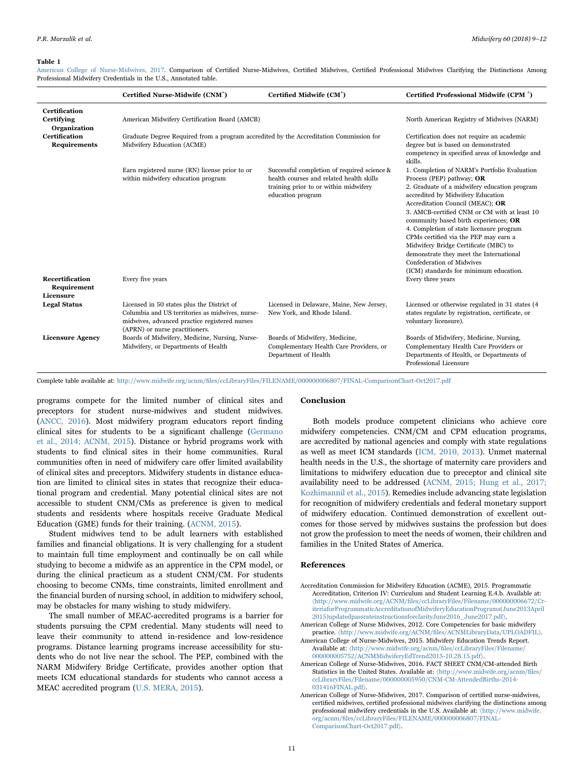#### <span id="page-2-2"></span>Table 1

[American College of Nurse-Midwives, 2017.](#page-2-5) Comparison of Certified Nurse-Midwives, Certified Midwives, Certified Professional Midwives Clarifying the Distinctions Among Professional Midwifery Credentials in the U.S., Annotated table.

|                                                                                                          | Certified Nurse-Midwife (CNM <sup>®</sup> )                                                                                                                                      | Certified Midwife (CM <sup>®</sup> )                                                                                                                  | Certified Professional Midwife (CPM <sup>*</sup> )                                                                                                                                                                                                                                                                                                                                                                                                                                                                                                               |
|----------------------------------------------------------------------------------------------------------|----------------------------------------------------------------------------------------------------------------------------------------------------------------------------------|-------------------------------------------------------------------------------------------------------------------------------------------------------|------------------------------------------------------------------------------------------------------------------------------------------------------------------------------------------------------------------------------------------------------------------------------------------------------------------------------------------------------------------------------------------------------------------------------------------------------------------------------------------------------------------------------------------------------------------|
| <b>Certification</b><br><b>Certifying</b><br>Organization<br><b>Certification</b><br><b>Requirements</b> | American Midwifery Certification Board (AMCB)<br>Graduate Degree Required from a program accredited by the Accreditation Commission for<br>Midwifery Education (ACME)            |                                                                                                                                                       | North American Registry of Midwives (NARM)<br>Certification does not require an academic<br>degree but is based on demonstrated                                                                                                                                                                                                                                                                                                                                                                                                                                  |
|                                                                                                          |                                                                                                                                                                                  |                                                                                                                                                       | competency in specified areas of knowledge and<br>skills.                                                                                                                                                                                                                                                                                                                                                                                                                                                                                                        |
| <b>Recertification</b>                                                                                   | Earn registered nurse (RN) license prior to or<br>within midwifery education program                                                                                             | Successful completion of required science &<br>health courses and related health skills<br>training prior to or within midwifery<br>education program | 1. Completion of NARM's Portfolio Evaluation<br>Process (PEP) pathway; OR<br>2. Graduate of a midwifery education program<br>accredited by Midwifery Education<br>Accreditation Council (MEAC); OR<br>3. AMCB-certified CNM or CM with at least 10<br>community based birth experiences; OR<br>4. Completion of state licensure program<br>CPMs certified via the PEP may earn a<br>Midwifery Bridge Certificate (MBC) to<br>demonstrate they meet the International<br>Confederation of Midwives<br>(ICM) standards for minimum education.<br>Every three years |
| Requirement<br>Licensure                                                                                 | Every five years                                                                                                                                                                 |                                                                                                                                                       |                                                                                                                                                                                                                                                                                                                                                                                                                                                                                                                                                                  |
| <b>Legal Status</b>                                                                                      | Licensed in 50 states plus the District of<br>Columbia and US territories as midwives, nurse-<br>midwives, advanced practice registered nurses<br>(APRN) or nurse practitioners. | Licensed in Delaware, Maine, New Jersey,<br>New York, and Rhode Island.                                                                               | Licensed or otherwise regulated in 31 states (4<br>states regulate by registration, certificate, or<br>voluntary licensure).                                                                                                                                                                                                                                                                                                                                                                                                                                     |
| <b>Licensure Agency</b>                                                                                  | Boards of Midwifery, Medicine, Nursing, Nurse-<br>Midwifery, or Departments of Health                                                                                            | Boards of Midwifery, Medicine,<br>Complementary Health Care Providers, or<br>Department of Health                                                     | Boards of Midwifery, Medicine, Nursing,<br>Complementary Health Care Providers or<br>Departments of Health, or Departments of<br>Professional Licensure                                                                                                                                                                                                                                                                                                                                                                                                          |

Complete table available at: http://www.midwife.org/acnm/fi[les/ccLibraryFiles/FILENAME/000000006807/FINAL-ComparisonChart-Oct2017.pdf](http://www.midwife.org/acnm/files/ccLibraryFiles/FILENAME/000000006807/FINAL-ComparisonChart-Oct2017.pdf)

programs compete for the limited number of clinical sites and preceptors for student nurse-midwives and student midwives. ([ANCC, 2016](#page-3-9)). Most midwifery program educators report finding clinical sites for students to be a significant challenge ([Germano](#page-2-4) [et al., 2014; ACNM, 2015\)](#page-2-4). Distance or hybrid programs work with students to find clinical sites in their home communities. Rural communities often in need of midwifery care offer limited availability of clinical sites and preceptors. Midwifery students in distance education are limited to clinical sites in states that recognize their educational program and credential. Many potential clinical sites are not accessible to student CNM/CMs as preference is given to medical students and residents where hospitals receive Graduate Medical Education (GME) funds for their training. [\(ACNM, 2015\)](#page-2-4).

Student midwives tend to be adult learners with established families and financial obligations. It is very challenging for a student to maintain full time employment and continually be on call while studying to become a midwife as an apprentice in the CPM model, or during the clinical practicum as a student CNM/CM. For students choosing to become CNMs, time constraints, limited enrollment and the financial burden of nursing school, in addition to midwifery school, may be obstacles for many wishing to study midwifery.

The small number of MEAC-accredited programs is a barrier for students pursuing the CPM credential. Many students will need to leave their community to attend in-residence and low-residence programs. Distance learning programs increase accessibility for students who do not live near the school. The PEP, combined with the NARM Midwifery Bridge Certificate, provides another option that meets ICM educational standards for students who cannot access a MEAC accredited program ([U.S. MERA, 2015](#page-3-10)).

### Conclusion

Both models produce competent clinicians who achieve core midwifery competencies. CNM/CM and CPM education programs, are accredited by national agencies and comply with state regulations as well as meet ICM standards ([ICM, 2010, 2013](#page-3-7)). Unmet maternal health needs in the U.S., the shortage of maternity care providers and limitations to midwifery education due to preceptor and clinical site availability need to be addressed ([ACNM, 2015; Hung et al., 2017;](#page-2-4) [Kozhimannil et al., 2015](#page-2-4)). Remedies include advancing state legislation for recognition of midwifery credentials and federal monetary support of midwifery education. Continued demonstration of excellent outcomes for those served by midwives sustains the profession but does not grow the profession to meet the needs of women, their children and families in the United States of America.

#### References

- <span id="page-2-3"></span>Accreditation Commission for Midwifery Education (ACME), 2015. Programmatic Accreditation, Criterion IV: Curriculum and Student Learning E.4.b. Available at: 〈http://www.midwife.org/ACNM/fi[les/ccLibraryFiles/Filename/000000006672/Cr](http://www.midwife.org/ACNM/files/ccLibraryFiles/Filename/000000006672/CriteriaforProgrammaticAccreditationofMidwiferyEducationPrograms(June2013April2015)updatedpassrateinstructionsforclarityJune2016_June2017.pdf)[iteriaforProgrammaticAccreditationofMidwiferyEducationPrograms\(June2013April](http://www.midwife.org/ACNM/files/ccLibraryFiles/Filename/000000006672/CriteriaforProgrammaticAccreditationofMidwiferyEducationPrograms(June2013April2015)updatedpassrateinstructionsforclarityJune2016_June2017.pdf) [2015\)updatedpassrateinstructionsforclarityJune2016\\_June2017.pdf](http://www.midwife.org/ACNM/files/ccLibraryFiles/Filename/000000006672/CriteriaforProgrammaticAccreditationofMidwiferyEducationPrograms(June2013April2015)updatedpassrateinstructionsforclarityJune2016_June2017.pdf)〉.
- <span id="page-2-1"></span>American College of Nurse Midwives, 2012. Core Competencies for basic midwifery practice. 〈http://www.midwife.org/ACNM/fi[les/ACNMLibraryData/UPLOADFIL](http://www.midwife.org/ACNM/files/ACNMLibraryData/UPLOADFIL)〉. American College of Nurse-Midwives, 2015. Midwifery Education Trends Report.
- <span id="page-2-4"></span>Available at: 〈[http://www.midwife.org/acnm/](http://www.midwife.org/acnm/files/ccLibraryFiles/Filename/000000005752/ACNMMidwiferyEdTrend2015-10.28.15.pdf)files/ccLibraryFiles/Filename/ [000000005752/ACNMMidwiferyEdTrend2015-10.28.15.pdf](http://www.midwife.org/acnm/files/ccLibraryFiles/Filename/000000005752/ACNMMidwiferyEdTrend2015-10.28.15.pdf)〉.
- <span id="page-2-0"></span>American College of Nurse-Midwives, 2016. FACT SHEET CNM/CM-attended Birth Statistics in the United States. Available at: 〈[http://www.midwife.org/acnm/](http://www.midwife.org/acnm/files/ccLibraryFiles/Filename/000000005950/CNM-CM-AttendedBirths-2014-031416FINAL.pdf)files/ [ccLibraryFiles/Filename/000000005950/CNM-CM-AttendedBirths-2014-](http://www.midwife.org/acnm/files/ccLibraryFiles/Filename/000000005950/CNM-CM-AttendedBirths-2014-031416FINAL.pdf) [031416FINAL.pdf](http://www.midwife.org/acnm/files/ccLibraryFiles/Filename/000000005950/CNM-CM-AttendedBirths-2014-031416FINAL.pdf)〉.
- <span id="page-2-5"></span>American College of Nurse-Midwives, 2017. Comparison of certified nurse-midwives, certified midwives, certified professional midwives clarifying the distinctions among professional midwifery credentials in the U.S. Available at: 〈[http://www.midwife.](http://www.midwife.org/acnm/files/ccLibraryFiles/FILENAME/000000006807/FINAL-ComparisonChart-Oct2017.pdf) org/acnm/fi[les/ccLibraryFiles/FILENAME/000000006807/FINAL-](http://www.midwife.org/acnm/files/ccLibraryFiles/FILENAME/000000006807/FINAL-ComparisonChart-Oct2017.pdf)[ComparisonChart-Oct2017.pdf](http://www.midwife.org/acnm/files/ccLibraryFiles/FILENAME/000000006807/FINAL-ComparisonChart-Oct2017.pdf)〉.